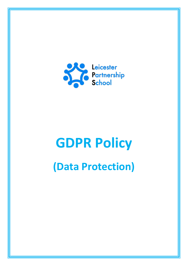

# **GDPR Policy (Data Protection)**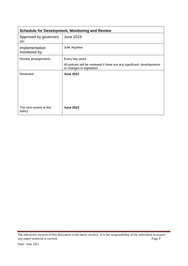| <b>Schedule for Development, Monitoring and Review</b> |                                                                                                      |  |
|--------------------------------------------------------|------------------------------------------------------------------------------------------------------|--|
| Approved by governors<br>on:                           | <b>June 2019</b>                                                                                     |  |
| Implementation<br>monitored by:                        | Julie Aquilina                                                                                       |  |
| Review arrangements:                                   | Every two years                                                                                      |  |
|                                                        | All policies will be reviewed if there are any significant developments<br>or changes to legislation |  |
| Reviewed:                                              | <b>June 2021</b>                                                                                     |  |
| The next review of this<br>policy:                     | <b>June 2023</b>                                                                                     |  |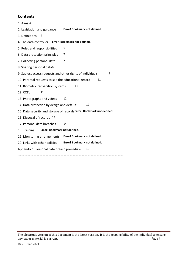# **Contents**

1. Aims 4 2. Legislation and guidance **Error! Bookmark not defined.** 3. Definitions 4 4. The data controller **Error! Bookmark not defined.** 5. Roles and responsibilities 5 6. Data protection principles 7 7. Collecting personal data 7 8. Sharing personal data8 9. Subject access requests and other rights of individuals 9 10. Parental requests to see the educational record 11 11. Biometric recognition systems 11 12. CCTV 11 13. Photographs and videos 12 14. Data protection by design and default 12 15. Data security and storage of records **Error! Bookmark not defined.** 16. Disposal of records 13 17. Personal data breaches 14 18. Training **Error! Bookmark not defined.** 19. Monitoring arrangements **Error! Bookmark not defined.** 20. Links with other policies **Error! Bookmark not defined.** Appendix 1: Personal data breach procedure 15 **…………………………………………………………………………………………………………………………….**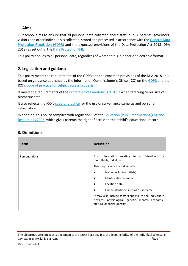## **1. Aims**

Our school aims to ensure that all personal data collected about staff, pupils, parents, governors, visitors and other individuals is collected, stored and processed in accordance with th[e General Data](http://data.consilium.europa.eu/doc/document/ST-5419-2016-INIT/en/pdf)  [Protection Regulation \(GDPR\)](http://data.consilium.europa.eu/doc/document/ST-5419-2016-INIT/en/pdf) and the expected provisions of the Data Protection Act 2018 (DPA 2018) as set out in the **Data Protection Bill**.

This policy applies to all personal data, regardless of whether it is in paper or electronic format.

# **2. Legislation and guidance**

This policy meets the requirements of the GDPR and the expected provisions of the DPA 2018. It is based on guidance published by the Information Commissioner's Office (ICO) on the [GDPR](https://ico.org.uk/for-organisations/guide-to-the-general-data-protection-regulation-gdpr/) and the ICO's [code of practice for subject access requests.](https://ico.org.uk/media/for-organisations/documents/2014223/subject-access-code-of-practice.pdf)

It meets the requirements of the [Protection of Freedoms Act 2012](https://www.legislation.gov.uk/ukpga/2012/9/part/1/chapter/2) when referring to our use of biometric data.

It also reflects the ICO's [code of practice](https://ico.org.uk/media/for-organisations/documents/1542/cctv-code-of-practice.pdf) for the use of surveillance cameras and personal information.

In addition, this policy complies with regulation 5 of the **Education (Pupil Information)** (England) [Regulations 2005](http://www.legislation.gov.uk/uksi/2005/1437/regulation/5/made), which gives parents the right of access to their child's educational record.

| Term          | <b>Definition</b>                                                                                                                               |
|---------------|-------------------------------------------------------------------------------------------------------------------------------------------------|
| Personal data | information relating to an identified,<br>Any<br>or<br>identifiable, individual.                                                                |
|               | This may include the individual's:                                                                                                              |
|               | Name (including initials)<br>$\bullet$                                                                                                          |
|               | Identification number<br>$\bullet$                                                                                                              |
|               | Location data<br>$\bullet$                                                                                                                      |
|               | Online identifier, such as a username<br>$\bullet$                                                                                              |
|               | It may also include factors specific to the individual's<br>physical, physiological, genetic, mental, economic,<br>cultural or social identity. |

# **3. Definitions**

The electronic version of this document is the latest version. It is the responsibility of the individual to ensure any paper material is current. The contract of the contract of the contract of the contract of the contract of the contract of the contract of the contract of the contract of the contract of the contract of the contract of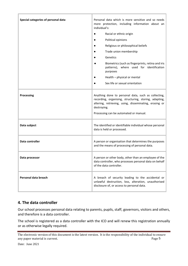| Special categories of personal data | Personal data which is more sensitive and so needs<br>more protection, including information about an<br>individual's:                                                                                                           |
|-------------------------------------|----------------------------------------------------------------------------------------------------------------------------------------------------------------------------------------------------------------------------------|
|                                     | Racial or ethnic origin                                                                                                                                                                                                          |
|                                     | Political opinions                                                                                                                                                                                                               |
|                                     | Religious or philosophical beliefs                                                                                                                                                                                               |
|                                     | Trade union membership                                                                                                                                                                                                           |
|                                     | Genetics                                                                                                                                                                                                                         |
|                                     | Biometrics (such as fingerprints, retina and iris<br>patterns), where used for identification<br>purposes                                                                                                                        |
|                                     | Health - physical or mental                                                                                                                                                                                                      |
|                                     | Sex life or sexual orientation                                                                                                                                                                                                   |
| <b>Processing</b>                   | Anything done to personal data, such as collecting,<br>recording, organising, structuring, storing, adapting,<br>altering, retrieving, using, disseminating, erasing or<br>destroying.<br>Processing can be automated or manual. |
| Data subject                        | The identified or identifiable individual whose personal<br>data is held or processed.                                                                                                                                           |
| Data controller                     | A person or organisation that determines the purposes<br>and the means of processing of personal data.                                                                                                                           |
| Data processor                      | A person or other body, other than an employee of the<br>data controller, who processes personal data on behalf<br>of the data controller.                                                                                       |
| Personal data breach                | A breach of security leading to the accidental or<br>unlawful destruction, loss, alteration, unauthorised<br>disclosure of, or access to personal data.                                                                          |

## **4. The data controller**

Our school processes personal data relating to parents, pupils, staff, governors, visitors and others, and therefore is a data controller.

The school is registered as a data controller with the ICO and will renew this registration annually or as otherwise legally required.

The electronic version of this document is the latest version. It is the responsibility of the individual to ensure any paper material is current. The contract of the contract of the Page 5 and  $\alpha$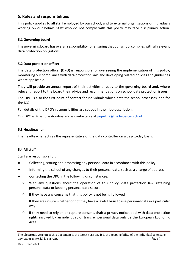## **5. Roles and responsibilities**

This policy applies to **all staff** employed by our school, and to external organisations or individuals working on our behalf. Staff who do not comply with this policy may face disciplinary action.

## **5.1 Governing board**

The governing board has overall responsibility for ensuring that our school complies with all relevant data protection obligations.

## **5.2 Data protection officer**

The data protection officer (DPO) is responsible for overseeing the implementation of this policy, monitoring our compliance with data protection law, and developing related policies and guidelines where applicable.

They will provide an annual report of their activities directly to the governing board and, where relevant, report to the board their advice and recommendations on school data protection issues.

The DPO is also the first point of contact for individuals whose data the school processes, and for the ICO.

Full details of the DPO's responsibilities are set out in their job description.

Our DPO is Miss Julie Aquilina and is contactable at [jaquilina@lps.leicester.sch.uk](mailto:jaquilina@lps.leicester.sch.uk)

## **5.3 Headteacher**

The headteacher acts as the representative of the data controller on a day-to-day basis.

## **5.4 All staff**

Staff are responsible for:

- Collecting, storing and processing any personal data in accordance with this policy
- Informing the school of any changes to their personal data, such as a change of address
- Contacting the DPO in the following circumstances:
	- $\circ$  With any questions about the operation of this policy, data protection law, retaining personal data or keeping personal data secure
	- $\circ$  If they have any concerns that this policy is not being followed
	- $\circ$  If they are unsure whether or not they have a lawful basis to use personal data in a particular way
	- $\circ$  If they need to rely on or capture consent, draft a privacy notice, deal with data protection rights invoked by an individual, or transfer personal data outside the European Economic Area

The electronic version of this document is the latest version. It is the responsibility of the individual to ensure any paper material is current. The example of the extent of the example of the extent of the example of the example of the extent of the example of the extent of the example of the example of the extent of the example of t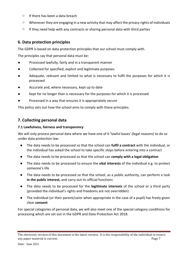- $\circ$  If there has been a data breach
- $\circ$  Whenever they are engaging in a new activity that may affect the privacy rights of individuals
- $\circ$  If they need help with any contracts or sharing personal data with third parties

## **6. Data protection principles**

The GDPR is based on data protection principles that our school must comply with.

The principles say that personal data must be:

- Processed lawfully, fairly and in a transparent manner
- Collected for specified, explicit and legitimate purposes
- Adequate, relevant and limited to what is necessary to fulfil the purposes for which it is processed
- Accurate and, where necessary, kept up to date
- Kept for no longer than is necessary for the purposes for which it is processed
- Processed in a way that ensures it is appropriately secure

This policy sets out how the school aims to comply with these principles.

## **7. Collecting personal data**

## **7.1 Lawfulness, fairness and transparency**

We will only process personal data where we have one of 6 'lawful bases' (legal reasons) to do so under data protection law:

- The data needs to be processed so that the school can **fulfil a contract** with the individual, or the individual has asked the school to take specific steps before entering into a contract
- The data needs to be processed so that the school can **comply with a legal obligation**
- The data needs to be processed to ensure the **vital interests** of the individual e.g. to protect someone's life
- The data needs to be processed so that the school, as a public authority, can perform a task **in the public interest,** and carry out its official functions
- The data needs to be processed for the **legitimate interests** of the school or a third party (provided the individual's rights and freedoms are not overridden)
- The individual (or their parent/carer when appropriate in the case of a pupil) has freely given clear **consent**

For special categories of personal data, we will also meet one of the special category conditions for processing which are set out in the GDPR and Data Protection Act 2018.

The electronic version of this document is the latest version. It is the responsibility of the individual to ensure any paper material is current. The page 7 and the paper of the page 7 and the page 7 and the page 7 and the page 7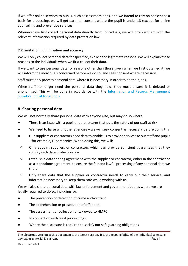If we offer online services to pupils, such as classroom apps, and we intend to rely on consent as a basis for processing, we will get parental consent where the pupil is under 13 (except for online counselling and preventive services).

Whenever we first collect personal data directly from individuals, we will provide them with the relevant information required by data protection law.

## **7.2 Limitation, minimisation and accuracy**

We will only collect personal data for specified, explicit and legitimate reasons. We will explain these reasons to the individuals when we first collect their data.

If we want to use personal data for reasons other than those given when we first obtained it, we will inform the individuals concerned before we do so, and seek consent where necessary.

Staff must only process personal data where it is necessary in order to do their jobs.

When staff no longer need the personal data they hold, they must ensure it is deleted or anonymised. This will be done in accordance with the Information and Records Management [Society's toolkit for schools](http://irms.org.uk/?page=schoolstoolkit&terms=%22toolkit+and+schools%22)

## **8. Sharing personal data**

We will not normally share personal data with anyone else, but may do so where:

- There is an issue with a pupil or parent/carer that puts the safety of our staff at risk
- We need to liaise with other agencies we will seek consent as necessary before doing this
- Our suppliers or contractors need data to enable us to provide services to our staff and pupils – for example, IT companies. When doing this, we will:
- o Only appoint suppliers or contractors which can provide sufficient guarantees that they comply with data protection law
- o Establish a data sharing agreement with the supplier or contractor, either in the contract or as a standalone agreement, to ensure the fair and lawful processing of any personal data we share
- o Only share data that the supplier or contractor needs to carry out their service, and information necessary to keep them safe while working with us

We will also share personal data with law enforcement and government bodies where we are legally required to do so, including for:

- The prevention or detection of crime and/or fraud
- The apprehension or prosecution of offenders
- The assessment or collection of tax owed to HMRC
- In connection with legal proceedings
- Where the disclosure is required to satisfy our safeguarding obligations

The electronic version of this document is the latest version. It is the responsibility of the individual to ensure any paper material is current. The example of the extent of the example of the extent of the example of the example of the extent of the example of the extent of the example of the example of the example of the example of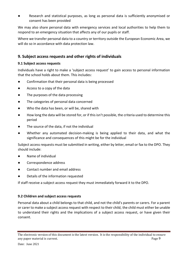Research and statistical purposes, as long as personal data is sufficiently anonymised or consent has been provided

We may also share personal data with emergency services and local authorities to help them to respond to an emergency situation that affects any of our pupils or staff.

Where we transfer personal data to a country or territory outside the European Economic Area, we will do so in accordance with data protection law.

## **9. Subject access requests and other rights of individuals**

## **9.1 Subject access requests**

Individuals have a right to make a 'subject access request' to gain access to personal information that the school holds about them. This includes:

- Confirmation that their personal data is being processed
- Access to a copy of the data
- The purposes of the data processing
- The categories of personal data concerned
- Who the data has been, or will be, shared with
- How long the data will be stored for, or if this isn't possible, the criteria used to determine this period
- The source of the data, if not the individual
- Whether any automated decision-making is being applied to their data, and what the significance and consequences of this might be for the individual

Subject access requests must be submitted in writing, either by letter, email or fax to the DPO. They should include:

- Name of individual
- Correspondence address
- Contact number and email address
- Details of the information requested

If staff receive a subject access request they must immediately forward it to the DPO.

## **9.2 Children and subject access requests**

Personal data about a child belongs to that child, and not the child's parents or carers. For a parent or carer to make a subject access request with respect to their child, the child must either be unable to understand their rights and the implications of a subject access request, or have given their consent.

The electronic version of this document is the latest version. It is the responsibility of the individual to ensure any paper material is current. The page 9 and the paper material is current.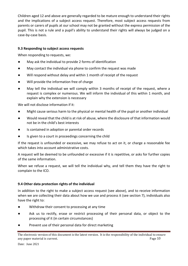Children aged 12 and above are generally regarded to be mature enough to understand their rights and the implications of a subject access request. Therefore, most subject access requests from parents or carers of pupils at our school may not be granted without the express permission of the pupil. This is not a rule and a pupil's ability to understand their rights will always be judged on a case-by-case basis.

## **9.3 Responding to subject access requests**

When responding to requests, we:

- May ask the individual to provide 2 forms of identification
- May contact the individual via phone to confirm the request was made
- Will respond without delay and within 1 month of receipt of the request
- Will provide the information free of charge
- May tell the individual we will comply within 3 months of receipt of the request, where a request is complex or numerous. We will inform the individual of this within 1 month, and explain why the extension is necessary

We will not disclose information if it:

- Might cause serious harm to the physical or mental health of the pupil or another individual
- Would reveal that the child is at risk of abuse, where the disclosure of that information would not be in the child's best interests
- Is contained in adoption or parental order records
- Is given to a court in proceedings concerning the child

If the request is unfounded or excessive, we may refuse to act on it, or charge a reasonable fee which takes into account administrative costs.

A request will be deemed to be unfounded or excessive if it is repetitive, or asks for further copies of the same information.

When we refuse a request, we will tell the individual why, and tell them they have the right to complain to the ICO.

## **9.4 Other data protection rights of the individual**

In addition to the right to make a subject access request (see above), and to receive information when we are collecting their data about how we use and process it (see section 7), individuals also have the right to:

- Withdraw their consent to processing at any time
- Ask us to rectify, erase or restrict processing of their personal data, or object to the processing of it (in certain circumstances)
- Prevent use of their personal data for direct marketing

The electronic version of this document is the latest version. It is the responsibility of the individual to ensure any paper material is current. Page 10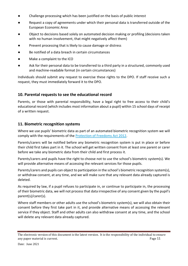- Challenge processing which has been justified on the basis of public interest
- Request a copy of agreements under which their personal data is transferred outside of the European Economic Area
- Object to decisions based solely on automated decision making or profiling (decisions taken with no human involvement, that might negatively affect them)
- Prevent processing that is likely to cause damage or distress
- Be notified of a data breach in certain circumstances
- Make a complaint to the ICO
- Ask for their personal data to be transferred to a third party in a structured, commonly used and machine-readable format (in certain circumstances)

Individuals should submit any request to exercise these rights to the DPO. If staff receive such a request, they must immediately forward it to the DPO.

# **10. Parental requests to see the educational record**

Parents, or those with parental responsibility, have a legal right to free access to their child's educational record (which includes most information about a pupil) within 15 school days of receipt of a written request.

# **11. Biometric recognition systems**

Where we use pupils' biometric data as part of an automated biometric recognition system we will comply with the requirements of the **Protection of Freedoms Act 2012**.

Parents/carers will be notified before any biometric recognition system is put in place or before their child first takes part in it. The school will get written consent from at least one parent or carer before we take any biometric data from their child and first process it.

Parents/carers and pupils have the right to choose not to use the school's biometric system(s). We will provide alternative means of accessing the relevant services for those pupils.

Parents/carers and pupils can object to participation in the school's biometric recognition system(s), or withdraw consent, at any time, and we will make sure that any relevant data already captured is deleted.

As required by law, if a pupil refuses to participate in, or continue to participate in, the processing of their biometric data, we will not process that data irrespective of any consent given by the pupil's parent(s)/carer(s).

Where staff members or other adults use the school's biometric system(s), we will also obtain their consent before they first take part in it, and provide alternative means of accessing the relevant service if they object. Staff and other adults can also withdraw consent at any time, and the school will delete any relevant data already captured.

The electronic version of this document is the latest version. It is the responsibility of the individual to ensure any paper material is current. Page 11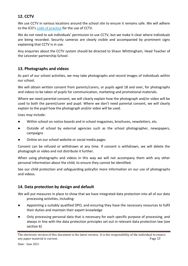# **12. CCTV**

We use CCTV in various locations around the school site to ensure it remains safe. We will adhere to the ICO's [code of practice](https://ico.org.uk/media/for-organisations/documents/1542/cctv-code-of-practice.pdf) for the use of CCTV.

We do not need to ask individuals' permission to use CCTV, but we make it clear where individuals are being recorded. Security cameras are clearly visible and accompanied by prominent signs explaining that CCTV is in use.

Any enquiries about the CCTV system should be directed to Shaun Whittingham, Head Teacher of the Leicester partnership School .

## **13. Photographs and videos**

As part of our school activities, we may take photographs and record images of individuals within our school.

We will obtain written consent from parents/carers, or pupils aged 18 and over, for photographs and videos to be taken of pupils for communication, marketing and promotional materials.

Where we need parental consent, we will clearly explain how the photograph and/or video will be used to both the parent/carer and pupil. Where we don't need parental consent, we will clearly explain to the pupil how the photograph and/or video will be used.

Uses may include:

- Within school on notice boards and in school magazines, brochures, newsletters, etc.
- Outside of school by external agencies such as the school photographer, newspapers, campaigns
- Online on our school website or social media pages

Consent can be refused or withdrawn at any time. If consent is withdrawn, we will delete the photograph or video and not distribute it further.

When using photographs and videos in this way we will not accompany them with any other personal information about the child, to ensure they cannot be identified.

See our child protection and safeguarding policyfor more information on our use of photographs and videos.

# **14. Data protection by design and default**

We will put measures in place to show that we have integrated data protection into all of our data processing activities, including:

- Appointing a suitably qualified DPO, and ensuring they have the necessary resources to fulfil their duties and maintain their expert knowledge
- Only processing personal data that is necessary for each specific purpose of processing, and always in line with the data protection principles set out in relevant data protection law (see section 6)

The electronic version of this document is the latest version. It is the responsibility of the individual to ensure any paper material is current. Page 12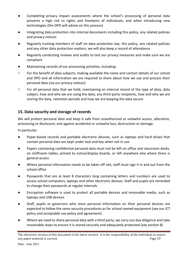- Completing privacy impact assessments where the school's processing of personal data presents a high risk to rights and freedoms of individuals, and when introducing new technologies (the DPO will advise on this process)
- Integrating data protection into internal documents including this policy, any related policies and privacy notices
- Regularly training members of staff on data protection law, this policy, any related policies and any other data protection matters; we will also keep a record of attendance
- Regularly conducting reviews and audits to test our privacy measures and make sure we are compliant
- Maintaining records of our processing activities, including:
- $\circ$  For the benefit of data subjects, making available the name and contact details of our school and DPO and all information we are required to share about how we use and process their personal data (via our privacy notices)
- $\circ$  For all personal data that we hold, maintaining an internal record of the type of data, data subject, how and why we are using the data, any third-party recipients, how and why we are storing the data, retention periods and how we are keeping the data secure

# **15. Data security and storage of records**

We will protect personal data and keep it safe from unauthorised or unlawful access, alteration, processing or disclosure, and against accidental or unlawful loss, destruction or damage.

In particular:

- Paper-based records and portable electronic devices, such as laptops and hard drives that contain personal data are kept under lock and key when not in use
- Papers containing confidential personal data must not be left on office and classroom desks, on staffroom tables, pinned to notice/display boards, or left anywhere else where there is general access
- Where personal information needs to be taken off site, staff must sign it in and out from the school office
- Passwords that are at least 8 characters long containing letters and numbers are used to access school computers, laptops and other electronic devices. Staff and pupils are reminded to change their passwords at regular intervals
- Encryption software is used to protect all portable devices and removable media, such as laptops and USB devices
- Staff, pupils or governors who store personal information on their personal devices are expected to follow the same security procedures as for school-owned equipment (see our ICT policy and acceptable use policy and agreement)
- Where we need to share personal data with a third party, we carry out due diligence and take reasonable steps to ensure it is stored securely and adequately protected (see section 8)

The electronic version of this document is the latest version. It is the responsibility of the individual to ensure any paper material is current. Page 13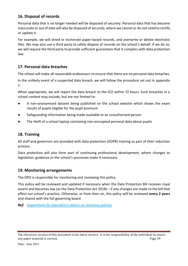# **16. Disposal of records**

Personal data that is no longer needed will be disposed of securely. Personal data that has become inaccurate or out of date will also be disposed of securely, where we cannot or do not need to rectify or update it.

For example, we will shred or incinerate paper-based records, and overwrite or delete electronic files. We may also use a third party to safely dispose of records on the school's behalf. If we do so, we will require the third party to provide sufficient guarantees that it complies with data protection law.

# **17. Personal data breaches**

The school will make all reasonable endeavours to ensure that there are no personal data breaches.

In the unlikely event of a suspected data breach, we will follow the procedure set out in appendix 1.

When appropriate, we will report the data breach to the ICO within 72 hours. Such breaches in a school context may include, but are not limited to:

- A non-anonymised dataset being published on the school website which shows the exam results of pupils eligible for the pupil premium
- Safeguarding information being made available to an unauthorised person
- The theft of a school laptop containing non-encrypted personal data about pupils

# **18. Training**

All staff and governors are provided with data protection (GDPR) training as part of their induction process.

Data protection will also form part of continuing professional development, where changes to legislation, guidance or the school's processes make it necessary.

## **19. Monitoring arrangements**

The DPO is responsible for monitoring and reviewing this policy.

This policy will be reviewed and updated if necessary when the Data Protection Bill receives royal assent and becomes law (as the Data Protection Act 2018) – if any changes are made to the bill that affect our school's practice. Otherwise, or from then on, this policy will be reviewed **every 2 years** and shared with the full governing board.

*Ref: [Department for Education's advice on statutory policies](https://www.gov.uk/government/publications/statutory-policies-for-schools)*

The electronic version of this document is the latest version. It is the responsibility of the individual to ensure any paper material is current. Page 14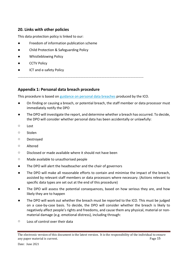## **20. Links with other policies**

This data protection policy is linked to our:

- Freedom of information publication scheme
- Child Protection & Safeguarding Policy
- Whistleblowing Policy
- CCTV Policy
- ICT and e-safety Policy

………………………………………………………………………………………………………………………………

## **Appendix 1: Personal data breach procedure**

This procedure is based on [guidance on personal data breaches](https://ico.org.uk/for-organisations/guide-to-the-general-data-protection-regulation-gdpr/personal-data-breaches/) produced by the ICO.

- On finding or causing a breach, or potential breach, the staff member or data processor must immediately notify the DPO
- The DPO will investigate the report, and determine whether a breach has occurred. To decide, the DPO will consider whether personal data has been accidentally or unlawfully:
- o Lost
- o Stolen
- o Destroyed
- o Altered
- o Disclosed or made available where it should not have been
- o Made available to unauthorised people
- The DPO will alert the headteacher and the chair of governors
- The DPO will make all reasonable efforts to contain and minimise the impact of the breach, assisted by relevant staff members or data processors where necessary. (Actions relevant to specific data types are set out at the end of this procedure)
- The DPO will assess the potential consequences, based on how serious they are, and how likely they are to happen
- The DPO will work out whether the breach must be reported to the ICO. This must be judged on a case-by-case basis. To decide, the DPO will consider whether the breach is likely to negatively affect people's rights and freedoms, and cause them any physical, material or nonmaterial damage (e.g. emotional distress), including through:
- o Loss of control over their data

The electronic version of this document is the latest version. It is the responsibility of the individual to ensure any paper material is current. Page 15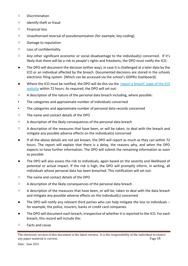- o Discrimination
- o Identify theft or fraud
- o Financial loss
- o Unauthorised reversal of pseudonymisation (for example, key-coding)
- o Damage to reputation
- o Loss of confidentiality
- o Any other significant economic or social disadvantage to the individual(s) concerned. If it's likely that there will be a risk to people's rights and freedoms, the DPO must notify the ICO.
- The DPO will document the decision (either way), in case it is challenged at a later date by the ICO or an individual affected by the breach. Documented decisions are stored in the schools electronic filing system [Which can be accessed via the school's GDPRis Dashboard].
- Where the ICO must be notified, the DPO will do this via the 'report a breach' page of the ICO [website](https://ico.org.uk/for-organisations/report-a-breach/) within 72 hours. As required, the DPO will set out:
- o A description of the nature of the personal data breach including, where possible:
- The categories and approximate number of individuals concerned
- The categories and approximate number of personal data records concerned
- o The name and contact details of the DPO
- o A description of the likely consequences of the personal data breach
- $\circ$  A description of the measures that have been, or will be taken, to deal with the breach and mitigate any possible adverse effects on the individual(s) concerned
- If all the above details are not yet known, the DPO will report as much as they can within 72 hours. The report will explain that there is a delay, the reasons why, and when the DPO expects to have further information. The DPO will submit the remaining information as soon as possible
- The DPO will also assess the risk to individuals, again based on the severity and likelihood of potential or actual impact. If the risk is high, the DPO will promptly inform, in writing, all individuals whose personal data has been breached. This notification will set out:
- o The name and contact details of the DPO
- $\circ$  A description of the likely consequences of the personal data breach
- o A description of the measures that have been, or will be, taken to deal with the data breach and mitigate any possible adverse effects on the individual(s) concerned
- $\bullet$  The DPO will notify any relevant third parties who can help mitigate the loss to individuals  $$ for example, the police, insurers, banks or credit card companies
- The DPO will document each breach, irrespective of whether it is reported to the ICO. For each breach, this record will include the:
- o Facts and cause

The electronic version of this document is the latest version. It is the responsibility of the individual to ensure any paper material is current. Page 16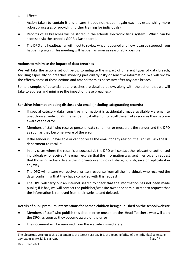- o Effects
- o Action taken to contain it and ensure it does not happen again (such as establishing more robust processes or providing further training for individuals)
- Records of all breaches will be stored in the schools electronic filing system [Which can be accessed via the school's GDPRis Dashboard].
- The DPO and headteacher will meet to review what happened and how it can be stopped from happening again. This meeting will happen as soon as reasonably possible.

## **Actions to minimise the impact of data breaches**

We will take the actions set out below to mitigate the impact of different types of data breach, focusing especially on breaches involving particularly risky or sensitive information. We will review the effectiveness of these actions and amend them as necessary after any data breach.

Some examples of potential data breaches are detailed below, along with the action that we will take to address and minimize the impact of these breaches:-

## **Sensitive information being disclosed via email (including safeguarding records)**

- If special category data (sensitive information) is accidentally made available via email to unauthorised individuals, the sender must attempt to recall the email as soon as they become aware of the error
- Members of staff who receive personal data sent in error must alert the sender and the DPO as soon as they become aware of the error
- If the sender is unavailable or cannot recall the email for any reason, the DPO will ask the ICT department to recall it
- In any cases where the recall is unsuccessful, the DPO will contact the relevant unauthorised individuals who received the email, explain that the information was sent in error, and request that those individuals delete the information and do not share, publish, save or replicate it in any way
- The DPO will ensure we receive a written response from all the individuals who received the data, confirming that they have complied with this request
- The DPO will carry out an internet search to check that the information has not been made public; if it has, we will contact the publisher/website owner or administrator to request that the information is removed from their website and deleted.

## **Details of pupil premium interventions for named children being published on the school website**

- Members of staff who publish this data in error must alert the Head Teacher , who will alert the DPO, as soon as they become aware of the error
- The document will be removed from the website immediately

The electronic version of this document is the latest version. It is the responsibility of the individual to ensure any paper material is current. Page 17